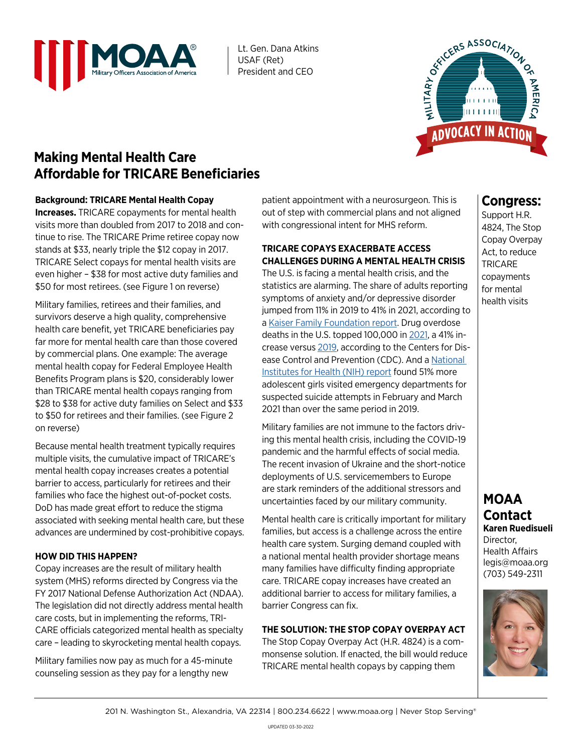

Lt. Gen. Dana Atkins USAF (Ret) President and CEO



# **Making Mental Health Care Affordable for TRICARE Beneficiaries**

#### **Background: TRICARE Mental Health Copay**

**Increases.** TRICARE copayments for mental health visits more than doubled from 2017 to 2018 and continue to rise. The TRICARE Prime retiree copay now stands at \$33, nearly triple the \$12 copay in 2017. TRICARE Select copays for mental health visits are even higher – \$38 for most active duty families and \$50 for most retirees. (see Figure 1 on reverse)

Military families, retirees and their families, and survivors deserve a high quality, comprehensive health care benefit, yet TRICARE beneficiaries pay far more for mental health care than those covered by commercial plans. One example: The average mental health copay for Federal Employee Health Benefits Program plans is \$20, considerably lower than TRICARE mental health copays ranging from \$28 to \$38 for active duty families on Select and \$33 to \$50 for retirees and their families. (see Figure 2 on reverse)

Because mental health treatment typically requires multiple visits, the cumulative impact of TRICARE's mental health copay increases creates a potential barrier to access, particularly for retirees and their families who face the highest out-of-pocket costs. DoD has made great effort to reduce the stigma associated with seeking mental health care, but these advances are undermined by cost-prohibitive copays.

#### **HOW DID THIS HAPPEN?**

Copay increases are the result of military health system (MHS) reforms directed by Congress via the FY 2017 National Defense Authorization Act (NDAA). The legislation did not directly address mental health care costs, but in implementing the reforms, TRI-CARE officials categorized mental health as specialty care – leading to skyrocketing mental health copays.

Military families now pay as much for a 45-minute counseling session as they pay for a lengthy new

patient appointment with a neurosurgeon. This is out of step with commercial plans and not aligned with congressional intent for MHS reform.

#### **TRICARE COPAYS EXACERBATE ACCESS CHALLENGES DURING A MENTAL HEALTH CRISIS**

The U.S. is facing a mental health crisis, and the statistics are alarming. The share of adults reporting symptoms of anxiety and/or depressive disorder jumped from 11% in 2019 to 41% in 2021, according to a [Kaiser Family Foundation report.](https://www.kff.org/coronavirus-covid-19/issue-brief/the-implications-of-covid-19-for-mental-health-and-substance-use/) Drug overdose deaths in the U.S. topped 100,000 in [2021,](https://www.cdc.gov/nchs/pressroom/nchs_press_releases/2021/20211117.htm) a 41% increase versus [2019](https://www.aha.org/news/headline/2020-07-16-cdc-drug-overdose-deaths-46-2019), according to the Centers for Disease Control and Prevention (CDC). And a [National](https://pubmed.ncbi.nlm.nih.gov/34138833/)  [Institutes for Health \(NIH\) report](https://pubmed.ncbi.nlm.nih.gov/34138833/) found 51% more adolescent girls visited emergency departments for suspected suicide attempts in February and March 2021 than over the same period in 2019.

Military families are not immune to the factors driving this mental health crisis, including the COVID-19 pandemic and the harmful effects of social media. The recent invasion of Ukraine and the short-notice deployments of U.S. servicemembers to Europe are stark reminders of the additional stressors and uncertainties faced by our military community.

Mental health care is critically important for military families, but access is a challenge across the entire health care system. Surging demand coupled with a national mental health provider shortage means many families have difficulty finding appropriate care. TRICARE copay increases have created an additional barrier to access for military families, a barrier Congress can fix.

## **THE SOLUTION: THE STOP COPAY OVERPAY ACT**

The Stop Copay Overpay Act (H.R. 4824) is a commonsense solution. If enacted, the bill would reduce TRICARE mental health copays by capping them

## **Congress:**

Support H.R. 4824, The Stop Copay Overpay Act, to reduce **TRICARE** copayments for mental health visits

### **MOAA Contact Karen Ruedisueli** Director, Health Affairs

legis@moaa.org (703) 549-2311